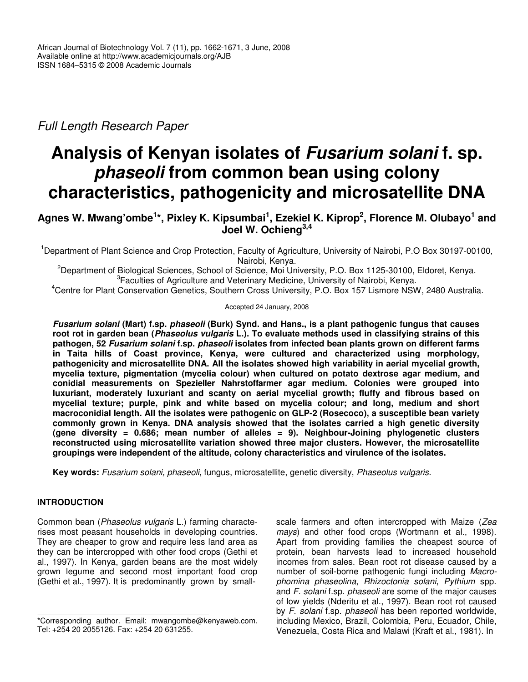*Full Length Research Paper*

# **Analysis of Kenyan isolates of** *Fusarium solani* **f. sp.** *phaseoli* **from common bean using colony characteristics, pathogenicity and microsatellite DNA**

Agnes W. Mwang'ombe<sup>1</sup>\*, Pixley K. Kipsumbai<sup>1</sup>, Ezekiel K. Kiprop<sup>2</sup>, Florence M. Olubayo<sup>1</sup> and **Joel W. Ochieng 3,4**

<sup>1</sup>Department of Plant Science and Crop Protection, Faculty of Agriculture, University of Nairobi, P.O Box 30197-00100, Nairobi, Kenya.

<sup>2</sup>Department of Biological Sciences, School of Science, Moi University, P.O. Box 1125-30100, Eldoret, Kenya. <sup>3</sup> Faculties of Agriculture and Veterinary Medicine, University of Nairobi, Kenya.

<sup>4</sup>Centre for Plant Conservation Genetics, Southern Cross University, P.O. Box 157 Lismore NSW, 2480 Australia.

Accepted 24 January, 2008

*Fusarium solani* **(Mart) f.sp.** *phaseoli* **(Burk) Synd. and Hans., is a plant pathogenic fungus that causes** root rot in garden bean (Phaseolus vulgaris L.). To evaluate methods used in classifying strains of this **pathogen, 52** *Fusarium solani* **f.sp.** *phaseoli* **isolates from infected bean plants grown on different farms in Taita hills of Coast province, Kenya, were cultured and characterized using morphology, pathogenicity and microsatellite DNA. All the isolates showed high variability in aerial mycelial growth, mycelia texture, pigmentation (mycelia colour) when cultured on potato dextrose agar medium, and conidial measurements on Spezieller Nahrstoffarmer agar medium. Colonies were grouped into luxuriant, moderately luxuriant and scanty on aerial mycelial growth; fluffy and fibrous based on mycelial texture; purple, pink and white based on mycelia colour; and long, medium and short macroconidial length. All the isolates were pathogenic on GLP-2 (Rosecoco), a susceptible bean variety commonly grown in Kenya. DNA analysis showed that the isolates carried a high genetic diversity (gene diversity = 0.686; mean number of alleles = 9). Neighbour-Joining phylogenetic clusters reconstructed using microsatellite variation showed three major clusters. However, the microsatellite groupings were independent of the altitude, colony characteristics and virulence of the isolates.**

**Key words:** *Fusarium solani, phaseoli*, fungus, microsatellite, genetic diversity, *Phaseolus vulgaris*.

# **INTRODUCTION**

Common bean (*Phaseolus vulgaris* L.) farming characterises most peasant households in developing countries. They are cheaper to grow and require less land area as they can be intercropped with other food crops (Gethi et al., 1997). In Kenya, garden beans are the most widely grown legume and second most important food crop (Gethi et al., 1997). It is predominantly grown by smallscale farmers and often intercropped with Maize (*Zea mays*) and other food crops (Wortmann et al., 1998). Apart from providing families the cheapest source of protein, bean harvests lead to increased household incomes from sales. Bean root rot disease caused by a number of soil-borne pathogenic fungi including *Macrophomina phaseolina*, *Rhizoctonia solani*, *Pythium* spp. and *F. solani* f.sp. *phaseoli* are some of the major causes of low yields (Nderitu et al., 1997). Bean root rot caused by *F. solani* f.sp. *phaseoli* has been reported worldwide, including Mexico, Brazil, Colombia, Peru, Ecuador, Chile, Venezuela, Costa Rica and Malawi (Kraft et al., 1981). In

<sup>\*</sup>Corresponding author. Email: mwangombe@kenyaweb.com. Tel: +254 20 2055126. Fax: +254 20 631255.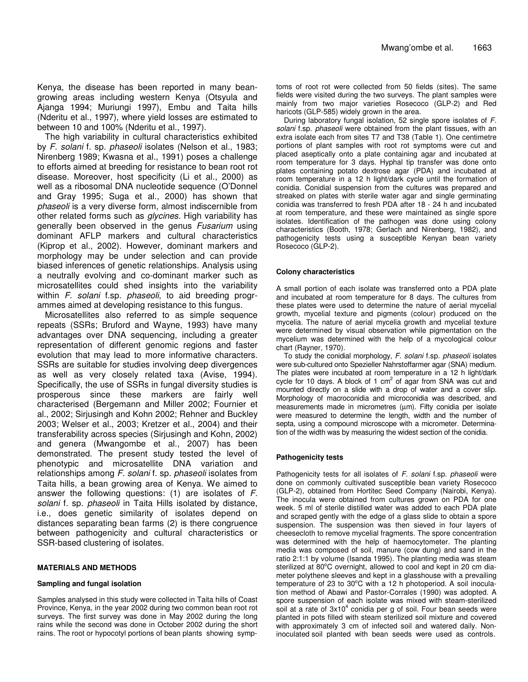Kenya, the disease has been reported in many beangrowing areas including western Kenya (Otsyula and Ajanga 1994; Muriungi 1997), Embu and Taita hills (Nderitu et al., 1997), where yield losses are estimated to between 10 and 100% (Nderitu et al., 1997).

The high variability in cultural characteristics exhibited by *F. solani* f. sp*. phaseoli* isolates (Nelson et al., 1983; Nirenberg 1989; Kwasna et al., 1991) poses a challenge to efforts aimed at breeding for resistance to bean root rot disease. Moreover, host specificity (Li et al., 2000) as well as a ribosomal DNA nucleotide sequence (O'Donnel and Gray 1995; Suga et al., 2000) has shown that *phaseoli* is a very diverse form, almost indiscernible from other related forms such as *glycines*. High variability has generally been observed in the genus *Fusarium* using dominant AFLP markers and cultural characteristics (Kiprop et al., 2002). However, dominant markers and morphology may be under selection and can provide biased inferences of genetic relationships. Analysis using a neutrally evolving and co-dominant marker such as microsatellites could shed insights into the variability within *F. solani* f.sp. *phaseoli*, to aid breeding programmes aimed at developing resistance to this fungus.

Microsatellites also referred to as simple sequence repeats (SSRs; Bruford and Wayne, 1993) have many advantages over DNA sequencing, including a greater representation of different genomic regions and faster evolution that may lead to more informative characters. SSRs are suitable for studies involving deep divergences as well as very closely related taxa (Avise, 1994). Specifically, the use of SSRs in fungal diversity studies is prosperous since these markers are fairly well characterised (Bergemann and Miller 2002; Fournier et al., 2002; Sirjusingh and Kohn 2002; Rehner and Buckley 2003; Welser et al., 2003; Kretzer et al., 2004) and their transferability across species (Sirjusingh and Kohn, 2002) and genera (Mwangombe et al., 2007) has been demonstrated. The present study tested the level of phenotypic and microsatellite DNA variation and relationships among *F. solani* f. sp*. phaseoli* isolates from Taita hills, a bean growing area of Kenya. We aimed to answer the following questions: (1) are isolates of *F. solani* f. sp*. phaseoli* in Taita Hills isolated by distance, i.e., does genetic similarity of isolates depend on distances separating bean farms (2) is there congruence between pathogenicity and cultural characteristics or SSR-based clustering of isolates.

#### **MATERIALS AND METHODS**

#### **Sampling and fungal isolation**

Samples analysed in this study were collected in Taita hills of Coast Province, Kenya, in the year 2002 during two common bean root rot surveys. The first survey was done in May 2002 during the long rains while the second was done in October 2002 during the short rains. The root or hypocotyl portions of bean plants showing symp-

toms of root rot were collected from 50 fields (sites). The same fields were visited during the two surveys. The plant samples were mainly from two major varieties Rosecoco (GLP-2) and Red haricots (GLP-585) widely grown in the area.

During laboratory fungal isolation, 52 single spore isolates of *F. solani* f.sp. *phaseoli* were obtained from the plant tissues, with an extra isolate each from sites T7 and T38 (Table 1). One centimetre portions of plant samples with root rot symptoms were cut and placed aseptically onto a plate containing agar and incubated at room temperature for 3 days. Hyphal tip transfer was done onto plates containing potato dextrose agar (PDA) and incubated at room temperature in a 12 h light/dark cycle until the formation of conidia. Conidial suspension from the cultures was prepared and streaked on plates with sterile water agar and single germinating conidia was transferred to fresh PDA after 18 - 24 h and incubated at room temperature, and these were maintained as single spore isolates. Identification of the pathogen was done using colony characteristics (Booth, 1978; Gerlach and Nirenberg, 1982), and pathogenicity tests using a susceptible Kenyan bean variety Rosecoco (GLP-2).

### **Colony characteristics**

A small portion of each isolate was transferred onto a PDA plate and incubated at room temperature for 8 days. The cultures from these plates were used to determine the nature of aerial mycelial growth, mycelial texture and pigments (colour) produced on the mycelia. The nature of aerial mycelia growth and mycelial texture were determined by visual observation while pigmentation on the mycelium was determined with the help of a mycological colour chart (Rayner, 1970).

To study the conidial morphology, *F. solani* f.sp. *phaseoli* isolates were sub-cultured onto Spezieller Nahrstoffarmer agar (SNA) medium. The plates were incubated at room temperature in a 12 h light/dark cycle for 10 days. A block of 1 cm<sup>2</sup> of agar from SNA was cut and mounted directly on a slide with a drop of water and a cover slip. Morphology of macroconidia and microconidia was described, and measurements made in micrometres (um). Fifty conidia per isolate were measured to determine the length, width and the number of septa, using a compound microscope with a micrometer. Determination of the width was by measuring the widest section of the conidia.

## **Pathogenicity tests**

Pathogenicity tests for all isolates of *F. solani* f.sp. *phaseoli* were done on commonly cultivated susceptible bean variety Rosecoco (GLP-2), obtained from Hortitec Seed Company (Nairobi, Kenya). The inocula were obtained from cultures grown on PDA for one week. 5 ml of sterile distilled water was added to each PDA plate and scraped gently with the edge of a glass slide to obtain a spore suspension. The suspension was then sieved in four layers of cheesecloth to remove mycelial fragments. The spore concentration was determined with the help of haemocytometer. The planting media was composed of soil, manure (cow dung) and sand in the ratio 2:1:1 by volume (Isanda 1995). The planting media was steam sterilized at 80°C overnight, allowed to cool and kept in 20 cm diameter polythene sleeves and kept in a glasshouse with a prevailing temperature of 23 to 30°C with a 12 h photoperiod. A soil inoculation method of Abawi and Pastor-Corrales (1990) was adopted. A spore suspension of each isolate was mixed with steam-sterilized soil at a rate of  $3x10^4$  conidia per g of soil. Four bean seeds were planted in pots filled with steam sterilized soil mixture and covered with approximately 3 cm of infected soil and watered daily. Noninoculated soil planted with bean seeds were used as controls.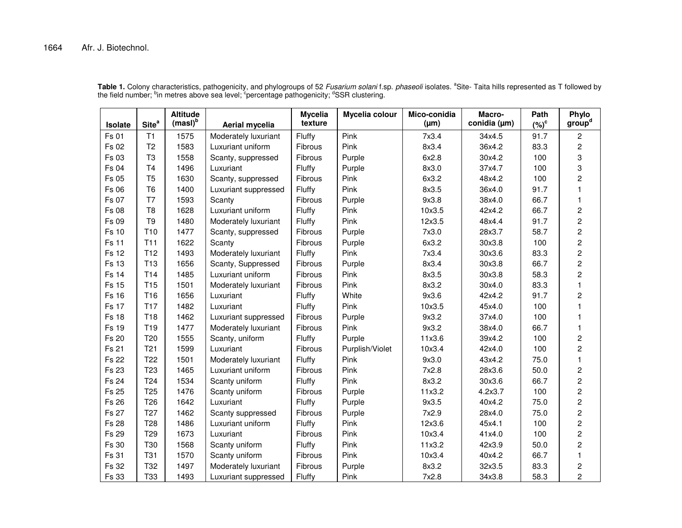|                |                         | <b>Altitude</b> |                      | <b>Mycelia</b> | Mycelia colour  | Mico-conidia | Macro-       | Path     | Phylo                        |
|----------------|-------------------------|-----------------|----------------------|----------------|-----------------|--------------|--------------|----------|------------------------------|
| <b>Isolate</b> | <b>Site<sup>a</sup></b> | $(masl)^b$      | Aerial mycelia       | texture        |                 | $(\mu m)$    | conidia (µm) | $(\%)^c$ | $\underline{\text{group}}^d$ |
| <b>Fs 01</b>   | T1                      | 1575            | Moderately luxuriant | Fluffy         | Pink            | 7x3.4        | 34x4.5       | 91.7     | 2                            |
| <b>Fs 02</b>   | T <sub>2</sub>          | 1583            | Luxuriant uniform    | Fibrous        | Pink            | 8x3.4        | 36x4.2       | 83.3     | $\overline{c}$               |
| Fs 03          | T <sub>3</sub>          | 1558            | Scanty, suppressed   | Fibrous        | Purple          | 6x2.8        | 30x4.2       | 100      | 3                            |
| <b>Fs 04</b>   | <b>T4</b>               | 1496            | Luxuriant            | Fluffy         | Purple          | 8x3.0        | 37x4.7       | 100      | 3                            |
| Fs 05          | T <sub>5</sub>          | 1630            | Scanty, suppressed   | Fibrous        | Pink            | 6x3.2        | 48x4.2       | 100      | $\overline{c}$               |
| <b>Fs 06</b>   | T <sub>6</sub>          | 1400            | Luxuriant suppressed | Fluffy         | Pink            | 8x3.5        | 36x4.0       | 91.7     |                              |
| Fs 07          | T7                      | 1593            | Scanty               | Fibrous        | Purple          | 9x3.8        | 38x4.0       | 66.7     |                              |
| <b>Fs 08</b>   | T <sub>8</sub>          | 1628            | Luxuriant uniform    | Fluffy         | Pink            | 10x3.5       | 42x4.2       | 66.7     | $\overline{c}$               |
| Fs 09          | T <sub>9</sub>          | 1480            | Moderately luxuriant | Fluffy         | Pink            | 12x3.5       | 48x4.4       | 91.7     | $\overline{\mathbf{c}}$      |
| <b>Fs 10</b>   | T <sub>10</sub>         | 1477            | Scanty, suppressed   | Fibrous        | Purple          | 7x3.0        | 28x3.7       | 58.7     | $\overline{c}$               |
| <b>Fs 11</b>   | <b>T11</b>              | 1622            | Scanty               | Fibrous        | Purple          | 6x3.2        | 30x3.8       | 100      | $\overline{c}$               |
| <b>Fs 12</b>   | T <sub>12</sub>         | 1493            | Moderately luxuriant | Fluffy         | Pink            | 7x3.4        | 30x3.6       | 83.3     | $\overline{c}$               |
| <b>Fs 13</b>   | T <sub>13</sub>         | 1656            | Scanty, Suppressed   | Fibrous        | Purple          | 8x3.4        | 30x3.8       | 66.7     | $\overline{c}$               |
| <b>Fs 14</b>   | T <sub>14</sub>         | 1485            | Luxuriant uniform    | Fibrous        | Pink            | 8x3.5        | 30x3.8       | 58.3     | $\overline{c}$               |
| <b>Fs 15</b>   | T <sub>15</sub>         | 1501            | Moderately luxuriant | Fibrous        | Pink            | 8x3.2        | 30x4.0       | 83.3     | 1.                           |
| <b>Fs 16</b>   | T <sub>16</sub>         | 1656            | Luxuriant            | Fluffy         | White           | 9x3.6        | 42x4.2       | 91.7     | 2                            |
| <b>Fs 17</b>   | T <sub>17</sub>         | 1482            | Luxuriant            | Fluffy         | Pink            | 10x3.5       | 45x4.0       | 100      | 1                            |
| <b>Fs 18</b>   | T <sub>18</sub>         | 1462            | Luxuriant suppressed | Fibrous        | Purple          | 9x3.2        | 37x4.0       | 100      |                              |
| <b>Fs 19</b>   | T <sub>19</sub>         | 1477            | Moderately luxuriant | Fibrous        | Pink            | 9x3.2        | 38x4.0       | 66.7     | 1                            |
| <b>Fs 20</b>   | T <sub>20</sub>         | 1555            | Scanty, uniform      | Fluffy         | Purple          | 11x3.6       | 39x4.2       | 100      | $\overline{c}$               |
| <b>Fs 21</b>   | T <sub>21</sub>         | 1599            | Luxuriant            | Fibrous        | Purplish/Violet | 10x3.4       | 42x4.0       | 100      | $\overline{c}$               |
| <b>Fs 22</b>   | T <sub>22</sub>         | 1501            | Moderately luxuriant | Fluffy         | Pink            | 9x3.0        | 43x4.2       | 75.0     | $\mathbf{1}$                 |
| <b>Fs 23</b>   | T <sub>23</sub>         | 1465            | Luxuriant uniform    | Fibrous        | Pink            | 7x2.8        | 28x3.6       | 50.0     | $\overline{c}$               |
| <b>Fs 24</b>   | T <sub>24</sub>         | 1534            | Scanty uniform       | Fluffy         | Pink            | 8x3.2        | 30x3.6       | 66.7     | $\overline{c}$               |
| <b>Fs 25</b>   | T <sub>25</sub>         | 1476            | Scanty uniform       | Fibrous        | Purple          | 11x3.2       | 4.2x3.7      | 100      | $\overline{\mathbf{c}}$      |
| <b>Fs 26</b>   | T <sub>26</sub>         | 1642            | Luxuriant            | Fluffy         | Purple          | 9x3.5        | 40x4.2       | 75.0     | $\overline{c}$               |
| <b>Fs 27</b>   | T <sub>27</sub>         | 1462            | Scanty suppressed    | Fibrous        | Purple          | 7x2.9        | 28x4.0       | 75.0     | $\overline{c}$               |
| <b>Fs 28</b>   | T <sub>28</sub>         | 1486            | Luxuriant uniform    | Fluffy         | Pink            | 12x3.6       | 45x4.1       | 100      | $\overline{c}$               |
| <b>Fs 29</b>   | T <sub>29</sub>         | 1673            | Luxuriant            | Fibrous        | Pink            | 10x3.4       | 41x4.0       | 100      | $\overline{c}$               |
| Fs 30          | T30                     | 1568            | Scanty uniform       | Fluffy         | Pink            | 11x3.2       | 42x3.9       | 50.0     | $\overline{c}$               |
| <b>Fs 31</b>   | T31                     | 1570            | Scanty uniform       | Fibrous        | Pink            | 10x3.4       | 40x4.2       | 66.7     | 1                            |
| <b>Fs 32</b>   | T32                     | 1497            | Moderately luxuriant | Fibrous        | Purple          | 8x3.2        | 32x3.5       | 83.3     | 2                            |
| Fs 33          | T33                     | 1493            | Luxuriant suppressed | Fluffy         | Pink            | 7x2.8        | 34x3.8       | 58.3     | $\overline{c}$               |

Table 1. Colony characteristics, pathogenicity, and phylogroups of 52 *Fusarium solani* f.sp. *phaseoli* isolates. <sup>a</sup>Site- Taita hills represented as T followed by the field number; <sup>b</sup>in metres above sea level; <sup>c</sup>percentage pathogenicity; <sup>d</sup>SSR clustering.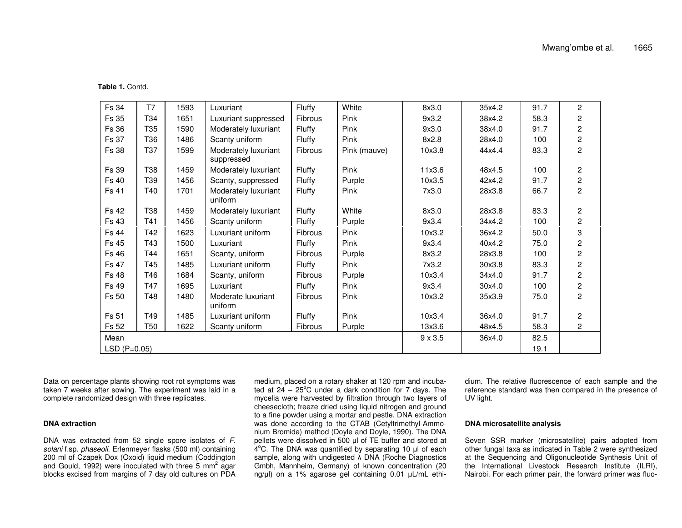| Table 1. Contd. |
|-----------------|
|-----------------|

| <b>Fs 34</b>   | T7              | 1593 | Luxuriant                          | Fluffy         | White        | 8x3.0          | 35x4.2 | 91.7 | $\overline{c}$ |
|----------------|-----------------|------|------------------------------------|----------------|--------------|----------------|--------|------|----------------|
| Fs 35          | T34             | 1651 | Luxuriant suppressed               | <b>Fibrous</b> | Pink         | 9x3.2          | 38x4.2 | 58.3 | 2              |
| <b>Fs 36</b>   | T <sub>35</sub> | 1590 | Moderately luxuriant               | Fluffy         | Pink         | 9x3.0          | 38x4.0 | 91.7 | $\overline{c}$ |
| <b>Fs 37</b>   | T <sub>36</sub> | 1486 | Scanty uniform                     | Fluffy         | Pink         | 8x2.8          | 28x4.0 | 100  | $\overline{c}$ |
| <b>Fs 38</b>   | T <sub>37</sub> | 1599 | Moderately luxuriant<br>suppressed | <b>Fibrous</b> | Pink (mauve) | 10x3.8         | 44x4.4 | 83.3 | $\overline{2}$ |
| Fs 39          | T38             | 1459 | Moderately luxuriant               | Fluffy         | Pink         | 11x3.6         | 48x4.5 | 100  | $\overline{c}$ |
| Fs 40          | T <sub>39</sub> | 1456 | Scanty, suppressed                 | Fluffy         | Purple       | 10x3.5         | 42x4.2 | 91.7 | $\overline{c}$ |
| Fs 41          | T40             | 1701 | Moderately luxuriant               | Fluffy         | Pink         | 7x3.0          | 28x3.8 | 66.7 | $\overline{c}$ |
|                |                 |      | uniform                            |                |              |                |        |      |                |
| Fs 42          | T38             | 1459 | Moderately luxuriant               | Fluffy         | White        | 8x3.0          | 28x3.8 | 83.3 | $\overline{2}$ |
| Fs 43          | T41             | 1456 | Scanty uniform                     | Fluffy         | Purple       | 9x3.4          | 34x4.2 | 100  | 2              |
| Fs 44          | T42             | 1623 | Luxuriant uniform                  | Fibrous        | Pink         | 10x3.2         | 36x4.2 | 50.0 | 3              |
| Fs 45          | T43             | 1500 | Luxuriant                          | Fluffy         | Pink         | 9x3.4          | 40x4.2 | 75.0 | $\overline{c}$ |
| Fs 46          | T44             | 1651 | Scanty, uniform                    | Fibrous        | Purple       | 8x3.2          | 28x3.8 | 100  | $\overline{c}$ |
| <b>Fs 47</b>   | T45             | 1485 | Luxuriant uniform                  | Fluffy         | Pink         | 7x3.2          | 30x3.8 | 83.3 | $\overline{c}$ |
| <b>Fs 48</b>   | T46             | 1684 | Scanty, uniform                    | Fibrous        | Purple       | 10x3.4         | 34x4.0 | 91.7 | $\overline{c}$ |
| Fs 49          | T47             | 1695 | Luxuriant                          | Fluffy         | Pink         | 9x3.4          | 30x4.0 | 100  | 2              |
| Fs 50          | T48             | 1480 | Moderate luxuriant<br>uniform      | <b>Fibrous</b> | Pink         | 10x3.2         | 35x3.9 | 75.0 | 2              |
| Fs 51          | T49             | 1485 | Luxuriant uniform                  | Fluffy         | Pink         | 10x3.4         | 36x4.0 | 91.7 | $\overline{c}$ |
| Fs 52          | T50             | 1622 | Scanty uniform                     | Fibrous        | Purple       | 13x3.6         | 48x4.5 | 58.3 | $\overline{2}$ |
| Mean           |                 |      |                                    |                |              | $9 \times 3.5$ | 36x4.0 | 82.5 |                |
| $LSD (P=0.05)$ |                 |      |                                    |                |              |                |        | 19.1 |                |

Data on percentage plants showing root rot symptoms was taken 7 weeks after sowing. The experiment was laid in <sup>a</sup> complete randomized design with three replicates.

#### **DNA extraction**

DNA was extracted from 52 single spore isolates of *F. solani* f.sp. *phaseoli*. Erlenmeyer flasks (500 ml) containing 200 ml of Czapek Dox (Oxoid) liquid medium (Coddington and Gould, 1992) were inoculated with three 5 mm<sup>2</sup> agar blocks excised from margins of 7 day old cultures on PDA medium, placed on <sup>a</sup> rotary shaker at 120 rpm and incubated at 24 – 25°C under a dark condition for 7 days. The mycelia were harvested by filtration through two layers of cheesecloth; freeze dried using liquid nitrogen and ground to <sup>a</sup> fine powder using <sup>a</sup> mortar and pestle. DNA extraction was done according to the CTAB (Cetyltrimethyl-Ammonium Bromide) method (Doyle and Doyle, 1990). The DNA pellets were dissolved in 500 ul of TE buffer and stored at  $4^{\circ}$ C. The DNA was quantified by separating 10  $\mu$ l of each sample, along with undigested  $\lambda$  DNA (Roche Diagnostics Gmbh, Mannheim, Germany) of known concentration (20 ng/ul) on a 1% agarose gel containing 0.01 uL/mL ethidium. The relative fluorescence of each sample and the reference standard was then compared in the presence of UV light.

#### **DNA microsatellite analysis**

Seven SSR marker (microsatellite) pairs adopted from other fungal taxa as indicated in Table 2 were synthesized at the Sequencing and Oligonucleotide Synthesis Unit of the International Livestock Research Institute (ILRI), Nairobi. For each primer pair, the forward primer was fluo-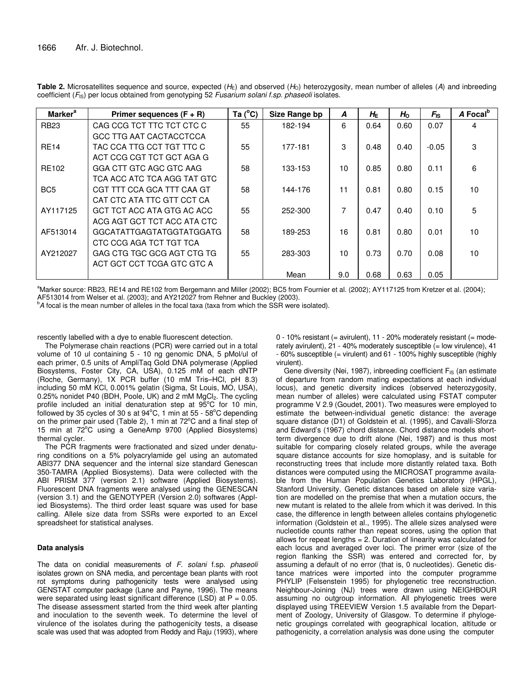| <b>Marker</b> <sup>a</sup> | Primer sequences $(F + R)$  | Ta $(^{\circ}C)$ | Size Range bp | A   | $H_{\mathsf{E}}$ | H <sub>o</sub> | $F_{\rm IS}$ | A Focal <sup>p</sup> |
|----------------------------|-----------------------------|------------------|---------------|-----|------------------|----------------|--------------|----------------------|
| <b>RB23</b>                | CAG CCG TCT TTC TCT CTC C   | 55               | 182-194       | 6   | 0.64             | 0.60           | 0.07         | 4                    |
|                            | GCC TTG AAT CACTACCTCCA     |                  |               |     |                  |                |              |                      |
| <b>RE14</b>                | TAC CCA TTG CCT TGT TTC C   | 55               | 177-181       | 3   | 0.48             | 0.40           | $-0.05$      | 3                    |
|                            | ACT CCG CGT TCT GCT AGA G   |                  |               |     |                  |                |              |                      |
| <b>RE102</b>               | GGA CTT GTC AGC GTC AAG     | 58               | 133-153       | 10  | 0.85             | 0.80           | 0.11         | 6                    |
|                            | TCA ACC ATC TCA AGG TAT GTC |                  |               |     |                  |                |              |                      |
| BC <sub>5</sub>            | CGT TTT CCA GCA TTT CAA GT  | 58               | 144-176       | 11  | 0.81             | 0.80           | 0.15         | 10                   |
|                            | CAT CTC ATA TTC GTT CCT CA  |                  |               |     |                  |                |              |                      |
| AY117125                   | GCT TCT ACC ATA GTG AC ACC  | 55               | 252-300       | 7   | 0.47             | 0.40           | 0.10         | 5                    |
|                            | ACG AGT GCT TCT ACC ATA CTC |                  |               |     |                  |                |              |                      |
| AF513014                   | GGCATATTGAGTATGGTATGGATG    | 58               | 189-253       | 16  | 0.81             | 0.80           | 0.01         | 10                   |
|                            | CTC CCG AGA TCT TGT TCA     |                  |               |     |                  |                |              |                      |
| AY212027                   | GAG CTG TGC GCG AGT CTG TG  | 55               | 283-303       | 10  | 0.73             | 0.70           | 0.08         | 10                   |
|                            | ACT GCT CCT TCGA GTC GTC A  |                  |               |     |                  |                |              |                      |
|                            |                             |                  | Mean          | 9.0 | 0.68             | 0.63           | 0.05         |                      |

**Table 2.** Microsatellites sequence and source, expected  $(H<sub>E</sub>)$  and observed  $(H<sub>O</sub>)$  heterozygosity, mean number of alleles (A) and inbreeding coefficient (*F*IS) per locus obtained from genotyping 52 *Fusarium solani f.sp. phaseoli* isolates.

aMarker source: RB23, RE14 and RE102 from Bergemann and Miller (2002); BC5 from Fournier et al. (2002); AY117125 from Kretzer et al. (2004); AF513014 from Welser et al. (2003); and AY212027 from Rehner and Buckley (2003).

<sup>*P*</sup>A focal is the mean number of alleles in the focal taxa (taxa from which the SSR were isolated).

rescently labelled with a dye to enable fluorescent detection.

The Polymerase chain reactions (PCR) were carried out in a total volume of 10 ul containing 5 - 10 ng genomic DNA, 5 pMol/ul of each primer, 0.5 units of AmpliTaq Gold DNA polymerase (Applied Biosystems, Foster City, CA, USA), 0.125 mM of each dNTP (Roche, Germany), 1X PCR buffer (10 mM Tris–HCl, pH 8.3) including 50 mM KCl, 0.001% gelatin (Sigma, St Louis, MO, USA), 0.25% nonidet P40 (BDH, Poole, UK) and 2 mM MgCl<sub>2</sub>. The cycling profile included an initial denaturation step at  $95^{\circ}$ C for 10 min, followed by 35 cycles of 30 s at  $94^{\circ}$ C, 1 min at 55 - 58 $^{\circ}$ C depending on the primer pair used (Table 2), 1 min at 72°C and a final step of 15 min at 72°C using a GeneAmp 9700 (Applied Biosystems) thermal cycler.

The PCR fragments were fractionated and sized under denaturing conditions on a 5% polyacrylamide gel using an automated ABI377 DNA sequencer and the internal size standard Genescan 350-TAMRA (Applied Biosystems). Data were collected with the ABI PRISM 377 (version 2.1) software (Applied Biosystems). Fluorescent DNA fragments were analysed using the GENESCAN (version 3.1) and the GENOTYPER (Version 2.0) softwares (Applied Biosystems). The third order least square was used for base calling. Allele size data from SSRs were exported to an Excel spreadsheet for statistical analyses.

#### **Data analysis**

The data on conidial measurements of *F. solani* f.sp. *phaseoli* isolates grown on SNA media, and percentage bean plants with root rot symptoms during pathogenicity tests were analysed using GENSTAT computer package (Lane and Payne, 1996). The means were separated using least significant difference (LSD) at  $P = 0.05$ . The disease assessment started from the third week after planting and inoculation to the seventh week. To determine the level of virulence of the isolates during the pathogenicity tests, a disease scale was used that was adopted from Reddy and Raju (1993), where 0 - 10% resistant (= avirulent), 11 - 20% moderately resistant (= moderately avirulent), 21 - 40% moderately susceptible (= low virulence), 41 - 60% susceptible (= virulent) and 61 - 100% highly susceptible (highly virulent).

Gene diversity (Nei, 1987), inbreeding coefficient  $F_{1S}$  (an estimate of departure from random mating expectations at each individual locus), and genetic diversity indices (observed heterozygosity, mean number of alleles) were calculated using FSTAT computer programme V 2.9 (Goudet, 2001). Two measures were employed to estimate the between-individual genetic distance: the average square distance (D1) of Goldstein et al. (1995), and Cavalli-Sforza and Edward's (1967) chord distance. Chord distance models shortterm divergence due to drift alone (Nei, 1987) and is thus most suitable for comparing closely related groups, while the average square distance accounts for size homoplasy, and is suitable for reconstructing trees that include more distantly related taxa. Both distances were computed using the MICROSAT programme available from the Human Population Genetics Laboratory (HPGL), Stanford University. Genetic distances based on allele size variation are modelled on the premise that when a mutation occurs, the new mutant is related to the allele from which it was derived. In this case, the difference in length between alleles contains phylogenetic information (Goldstein et al., 1995). The allele sizes analysed were nucleotide counts rather than repeat scores, using the option that allows for repeat lengths = 2. Duration of linearity was calculated for each locus and averaged over loci. The primer error (size of the region flanking the SSR) was entered and corrected for, by assuming a default of no error (that is, 0 nucleotides). Genetic distance matrices were imported into the computer programme PHYLIP (Felsenstein 1995) for phylogenetic tree reconstruction. Neighbour-Joining (NJ) trees were drawn using NEIGHBOUR assuming no outgroup information. All phylogenetic trees were displayed using TREEVIEW Version 1.5 available from the Department of Zoology, University of Glasgow. To determine if phylogenetic groupings correlated with geographical location, altitude or pathogenicity, a correlation analysis was done using the computer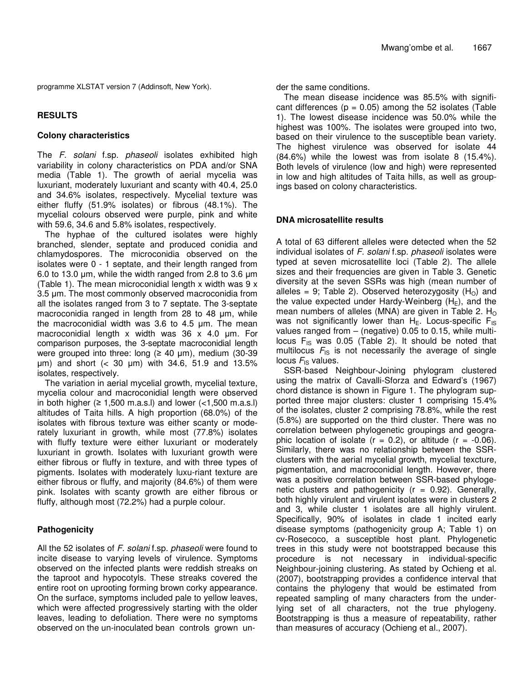programme XLSTAT version 7 (Addinsoft, New York).

# **RESULTS**

## **Colony characteristics**

The *F. solani* f.sp. *phaseoli* isolates exhibited high variability in colony characteristics on PDA and/or SNA media (Table 1). The growth of aerial mycelia was luxuriant, moderately luxuriant and scanty with 40.4, 25.0 and 34.6% isolates, respectively. Mycelial texture was either fluffy (51.9% isolates) or fibrous (48.1%). The mycelial colours observed were purple, pink and white with 59.6, 34.6 and 5.8% isolates, respectively.

The hyphae of the cultured isolates were highly branched, slender, septate and produced conidia and chlamydospores. The microconidia observed on the isolates were 0 - 1 septate, and their length ranged from 6.0 to 13.0  $\mu$ m, while the width ranged from 2.8 to 3.6  $\mu$ m (Table 1). The mean microconidial length x width was 9 x 3.5 µm. The most commonly observed macroconidia from all the isolates ranged from 3 to 7 septate. The 3-septate macroconidia ranged in length from 28 to 48 um, while the macroconidial width was  $3.6$  to  $4.5$  µm. The mean macroconidial length x width was  $36 \times 4.0$  µm. For comparison purposes, the 3-septate macroconidial length were grouped into three: long  $( \geq 40 \text{ }\mu \text{m})$ , medium (30-39)  $\mu$ m) and short (< 30  $\mu$ m) with 34.6, 51.9 and 13.5% isolates, respectively.

The variation in aerial mycelial growth, mycelial texture, mycelia colour and macroconidial length were observed in both higher  $( \ge 1,500 \text{ m.a.s.})$  and lower  $(<1,500 \text{ m.a.s.})$ altitudes of Taita hills. A high proportion (68.0%) of the isolates with fibrous texture was either scanty or moderately luxuriant in growth, while most (77.8%) isolates with fluffy texture were either luxuriant or moderately luxuriant in growth. Isolates with luxuriant growth were either fibrous or fluffy in texture, and with three types of pigments. Isolates with moderately luxu-riant texture are either fibrous or fluffy, and majority (84.6%) of them were pink. Isolates with scanty growth are either fibrous or fluffy, although most (72.2%) had a purple colour.

# **Pathogenicity**

All the 52 isolates of *F. solani* f.sp. *phaseoli* were found to incite disease to varying levels of virulence. Symptoms observed on the infected plants were reddish streaks on the taproot and hypocotyls. These streaks covered the entire root on uprooting forming brown corky appearance. On the surface, symptoms included pale to yellow leaves, which were affected progressively starting with the older leaves, leading to defoliation. There were no symptoms observed on the un-inoculated bean controls grown under the same conditions.

The mean disease incidence was 85.5% with significant differences ( $p = 0.05$ ) among the 52 isolates (Table 1). The lowest disease incidence was 50.0% while the highest was 100%. The isolates were grouped into two, based on their virulence to the susceptible bean variety. The highest virulence was observed for isolate 44 (84.6%) while the lowest was from isolate 8 (15.4%). Both levels of virulence (low and high) were represented in low and high altitudes of Taita hills, as well as groupings based on colony characteristics.

## **DNA microsatellite results**

A total of 63 different alleles were detected when the 52 individual isolates of *F. solani* f.sp. *phaseoli* isolates were typed at seven microsatellite loci (Table 2). The allele sizes and their frequencies are given in Table 3. Genetic diversity at the seven SSRs was high (mean number of alleles = 9; Table 2). Observed heterozygosity ( $H_0$ ) and the value expected under Hardy-Weinberg  $(H_E)$ , and the mean numbers of alleles (MNA) are given in Table 2.  $H<sub>O</sub>$ was not significantly lower than  $H<sub>E</sub>$ . Locus-specific  $F<sub>IS</sub>$ values ranged from – (negative) 0.05 to 0.15, while multilocus  $F_{1S}$  was 0.05 (Table 2). It should be noted that multilocus  $F_{\text{IS}}$  is not necessarily the average of single locus F<sub>IS</sub> values.

SSR-based Neighbour-Joining phylogram clustered using the matrix of Cavalli-Sforza and Edward's (1967) chord distance is shown in Figure 1. The phylogram supported three major clusters: cluster 1 comprising 15.4% of the isolates, cluster 2 comprising 78.8%, while the rest (5.8%) are supported on the third cluster. There was no correlation between phylogenetic groupings and geographic location of isolate  $(r = 0.2)$ , or altitude  $(r = -0.06)$ . Similarly, there was no relationship between the SSRclusters with the aerial mycelial growth, mycelial texcture, pigmentation, and macroconidial length. However, there was a positive correlation between SSR-based phylogenetic clusters and pathogenicity  $(r = 0.92)$ . Generally, both highly virulent and virulent isolates were in clusters 2 and 3, while cluster 1 isolates are all highly virulent. Specifically, 90% of isolates in clade 1 incited early disease symptoms (pathogenicity group A; Table 1) on cv-Rosecoco, a susceptible host plant. Phylogenetic trees in this study were not bootstrapped because this procedure is not necessary in individual-specific Neighbour-joining clustering. As stated by Ochieng et al. (2007), bootstrapping provides a confidence interval that contains the phylogeny that would be estimated from repeated sampling of many characters from the underlying set of all characters, not the true phylogeny. Bootstrapping is thus a measure of repeatability, rather than measures of accuracy (Ochieng et al., 2007).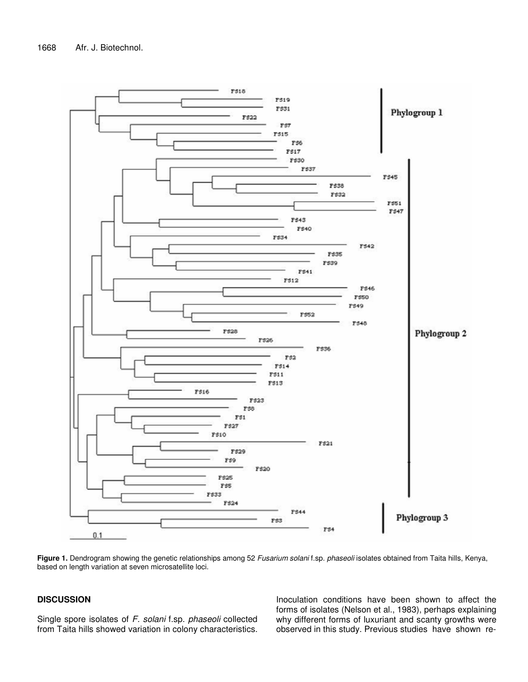

**Figure 1.** Dendrogram showing the genetic relationships among 52 *Fusarium solani* f.sp. *phaseoli* isolates obtained from Taita hills, Kenya, based on length variation at seven microsatellite loci.

# **DISCUSSION**

Single spore isolates of *F. solani* f.sp. *phaseoli* collected from Taita hills showed variation in colony characteristics.

Inoculation conditions have been shown to affect the forms of isolates (Nelson et al., 1983), perhaps explaining why different forms of luxuriant and scanty growths were observed in this study. Previous studies have shown re-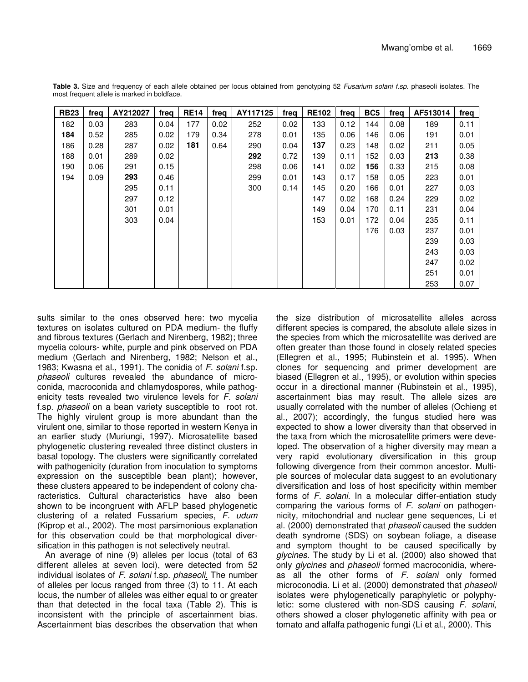| <b>RB23</b> | freg | AY212027 | freq | <b>RE14</b> | freg | AY117125 | freg | <b>RE102</b> | freq | BC <sub>5</sub> | freq | AF513014 | freq |
|-------------|------|----------|------|-------------|------|----------|------|--------------|------|-----------------|------|----------|------|
| 182         | 0.03 | 283      | 0.04 | 177         | 0.02 | 252      | 0.02 | 133          | 0.12 | 144             | 0.08 | 189      | 0.11 |
| 184         | 0.52 | 285      | 0.02 | 179         | 0.34 | 278      | 0.01 | 135          | 0.06 | 146             | 0.06 | 191      | 0.01 |
| 186         | 0.28 | 287      | 0.02 | 181         | 0.64 | 290      | 0.04 | 137          | 0.23 | 148             | 0.02 | 211      | 0.05 |
| 188         | 0.01 | 289      | 0.02 |             |      | 292      | 0.72 | 139          | 0.11 | 152             | 0.03 | 213      | 0.38 |
| 190         | 0.06 | 291      | 0.15 |             |      | 298      | 0.06 | 141          | 0.02 | 156             | 0.33 | 215      | 0.08 |
| 194         | 0.09 | 293      | 0.46 |             |      | 299      | 0.01 | 143          | 0.17 | 158             | 0.05 | 223      | 0.01 |
|             |      | 295      | 0.11 |             |      | 300      | 0.14 | 145          | 0.20 | 166             | 0.01 | 227      | 0.03 |
|             |      | 297      | 0.12 |             |      |          |      | 147          | 0.02 | 168             | 0.24 | 229      | 0.02 |
|             |      | 301      | 0.01 |             |      |          |      | 149          | 0.04 | 170             | 0.11 | 231      | 0.04 |
|             |      | 303      | 0.04 |             |      |          |      | 153          | 0.01 | 172             | 0.04 | 235      | 0.11 |
|             |      |          |      |             |      |          |      |              |      | 176             | 0.03 | 237      | 0.01 |
|             |      |          |      |             |      |          |      |              |      |                 |      | 239      | 0.03 |
|             |      |          |      |             |      |          |      |              |      |                 |      | 243      | 0.03 |
|             |      |          |      |             |      |          |      |              |      |                 |      | 247      | 0.02 |
|             |      |          |      |             |      |          |      |              |      |                 |      | 251      | 0.01 |
|             |      |          |      |             |      |          |      |              |      |                 |      | 253      | 0.07 |

**Table 3.** Size and frequency of each allele obtained per locus obtained from genotyping 52 *Fusarium solani f.sp*. phaseoli isolates. The most frequent allele is marked in boldface.

sults similar to the ones observed here: two mycelia textures on isolates cultured on PDA medium- the fluffy and fibrous textures (Gerlach and Nirenberg, 1982); three mycelia colours- white, purple and pink observed on PDA medium (Gerlach and Nirenberg, 1982; Nelson et al., 1983; Kwasna et al., 1991). The conidia of *F. solani* f.sp. *phaseoli* cultures revealed the abundance of microconida, macroconida and chlamydospores, while pathogenicity tests revealed two virulence levels for *F. solani* f.sp. *phaseoli* on a bean variety susceptible to root rot. The highly virulent group is more abundant than the virulent one, similar to those reported in western Kenya in an earlier study (Muriungi, 1997). Microsatellite based phylogenetic clustering revealed three distinct clusters in basal topology. The clusters were significantly correlated with pathogenicity (duration from inoculation to symptoms expression on the susceptible bean plant); however, these clusters appeared to be independent of colony characteristics. Cultural characteristics have also been shown to be incongruent with AFLP based phylogenetic clustering of a related Fussarium species, *F. udum* (Kiprop et al., 2002). The most parsimonious explanation for this observation could be that morphological diversification in this pathogen is not selectively neutral.

An average of nine (9) alleles per locus (total of 63 different alleles at seven loci), were detected from 52 individual isolates of *F. solani* f.sp. *phaseoli*. The number of alleles per locus ranged from three (3) to 11. At each locus, the number of alleles was either equal to or greater than that detected in the focal taxa (Table 2). This is inconsistent with the principle of ascertainment bias. Ascertainment bias describes the observation that when

the size distribution of microsatellite alleles across different species is compared, the absolute allele sizes in the species from which the microsatellite was derived are often greater than those found in closely related species (Ellegren et al., 1995; Rubinstein et al. 1995). When clones for sequencing and primer development are biased (Ellegren et al., 1995), or evolution within species occur in a directional manner (Rubinstein et al., 1995), ascertainment bias may result. The allele sizes are usually correlated with the number of alleles (Ochieng et al., 2007); accordingly, the fungus studied here was expected to show a lower diversity than that observed in the taxa from which the microsatellite primers were developed. The observation of a higher diversity may mean a very rapid evolutionary diversification in this group following divergence from their common ancestor. Multiple sources of molecular data suggest to an evolutionary diversification and loss of host specificity within member forms of *F. solani*. In a molecular differ-entiation study comparing the various forms of *F. solani* on pathogennicity, mitochondrial and nuclear gene sequences, Li et al. (2000) demonstrated that *phaseoli* caused the sudden death syndrome (SDS) on soybean foliage, a disease and symptom thought to be caused specifically by *glycines*. The study by Li et al. (2000) also showed that only *glycines* and *phaseoli* formed macroconidia, whereas all the other forms of *F. solani* only formed microconodia. Li et al. (2000) demonstrated that *phaseoli* isolates were phylogenetically paraphyletic or polyphyletic: some clustered with non-SDS causing *F. solani*, others showed a closer phylogenetic affinity with pea or tomato and alfalfa pathogenic fungi (Li et al., 2000). This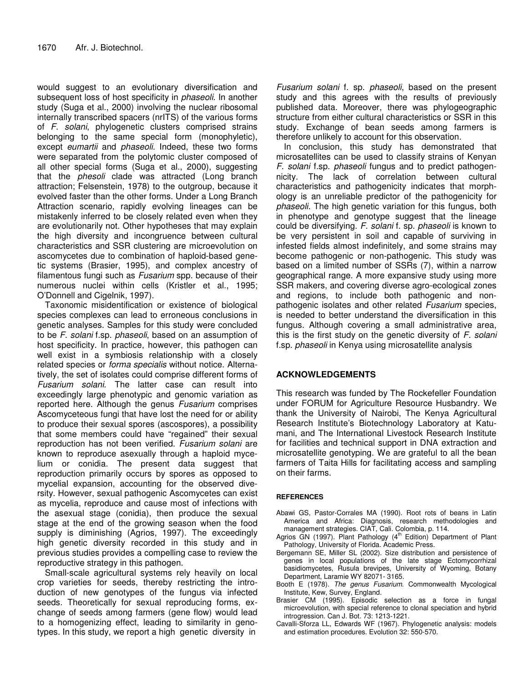would suggest to an evolutionary diversification and subsequent loss of host specificity in *phaseoli*. In another study (Suga et al., 2000) involving the nuclear ribosomal internally transcribed spacers (nrITS) of the various forms of *F. solani*, phylogenetic clusters comprised strains belonging to the same special form (monophyletic), except *eumartii* and *phaseoli.* Indeed, these two forms were separated from the polytomic cluster composed of all other special forms (Suga et al., 2000), suggesting that the *phesoli* clade was attracted (Long branch attraction; Felsenstein, 1978) to the outgroup, because it evolved faster than the other forms. Under a Long Branch Attraction scenario, rapidly evolving lineages can be mistakenly inferred to be closely related even when they are evolutionarily not. Other hypotheses that may explain the high diversity and incongruence between cultural characteristics and SSR clustering are microevolution on ascomycetes due to combination of haploid-based genetic systems (Brasier, 1995), and complex ancestry of filamentous fungi such as *Fusarium* spp. because of their numerous nuclei within cells (Kristler et al., 1995; O'Donnell and Cigelnik, 1997).

Taxonomic misidentification or existence of biological species complexes can lead to erroneous conclusions in genetic analyses. Samples for this study were concluded to be *F. solani* f.sp. *phaseoli*, based on an assumption of host specificity. In practice, however, this pathogen can well exist in a symbiosis relationship with a closely related species or *forma specialis* without notice. Alternatively, the set of isolates could comprise different forms of *Fusarium solani*. The latter case can result into exceedingly large phenotypic and genomic variation as reported here. Although the genus *Fusarium* comprises Ascomyceteous fungi that have lost the need for or ability to produce their sexual spores (ascospores), a possibility that some members could have "regained" their sexual reproduction has not been verified. *Fusarium solani* are known to reproduce asexually through a haploid mycelium or conidia. The present data suggest that reproduction primarily occurs by spores as opposed to mycelial expansion, accounting for the observed diversity. However, sexual pathogenic Ascomycetes can exist as mycelia, reproduce and cause most of infections with the asexual stage (conidia), then produce the sexual stage at the end of the growing season when the food supply is diminishing (Agrios, 1997). The exceedingly high genetic diversity recorded in this study and in previous studies provides a compelling case to review the reproductive strategy in this pathogen.

Small-scale agricultural systems rely heavily on local crop varieties for seeds, thereby restricting the introduction of new genotypes of the fungus via infected seeds. Theoretically for sexual reproducing forms, exchange of seeds among farmers (gene flow) would lead to a homogenizing effect, leading to similarity in genotypes. In this study, we report a high genetic diversity in

*Fusarium solani* f. sp. *phaseoli*, based on the present study and this agrees with the results of previously published data. Moreover, there was phylogeographic structure from either cultural characteristics or SSR in this study. Exchange of bean seeds among farmers is therefore unlikely to account for this observation.

In conclusion, this study has demonstrated that microsatellites can be used to classify strains of Kenyan *F. solani* f.sp. *phaseoli* fungus and to predict pathogennicity. The lack of correlation between cultural characteristics and pathogenicity indicates that morphology is an unreliable predictor of the pathogenicity for *phaseoli*. The high genetic variation for this fungus, both in phenotype and genotype suggest that the lineage could be diversifying. *F. solani* f. sp. *phaseoli* is known to be very persistent in soil and capable of surviving in infested fields almost indefinitely, and some strains may become pathogenic or non-pathogenic. This study was based on a limited number of SSRs (7), within a narrow geographical range. A more expansive study using more SSR makers, and covering diverse agro-ecological zones and regions, to include both pathogenic and nonpathogenic isolates and other related *Fusarium* species, is needed to better understand the diversification in this fungus. Although covering a small administrative area, this is the first study on the genetic diversity of *F. solani* f.sp. *phaseoli* in Kenya using microsatellite analysis

## **ACKNOWLEDGEMENTS**

This research was funded by The Rockefeller Foundation under FORUM for Agriculture Resource Husbandry. We thank the University of Nairobi, The Kenya Agricultural Research Institute's Biotechnology Laboratory at Katumani, and The International Livestock Research Institute for facilities and technical support in DNA extraction and microsatellite genotyping. We are grateful to all the bean farmers of Taita Hills for facilitating access and sampling on their farms.

## **REFERENCES**

- Abawi GS, Pastor-Corrales MA (1990). Root rots of beans in Latin America and Africa: Diagnosis, research methodologies and management strategies. CIAT, Cali. Colombia, p. 114.
- Agrios GN (1997). Plant Pathology (4<sup>th</sup> Edition) Department of Plant Pathology, University of Florida. Academic Press.
- Bergemann SE, Miller SL (2002). Size distribution and persistence of genes in local populations of the late stage Ectomycorrhizal basidiomycetes, Rusula brevipes, University of Wyoming, Botany Department, Laramie WY 82071- 3165.
- Booth E (1978). *The genus Fusarium*. Commonwealth Mycological Institute, Kew, Survey, England.
- Brasier CM (1995). Episodic selection as a force in fungal microevolution, with special reference to clonal speciation and hybrid introgression. Can J. Bot. 73: 1213-1221.
- Cavalli-Sforza LL, Edwards WF (1967). Phylogenetic analysis: models and estimation procedures. Evolution 32: 550-570.